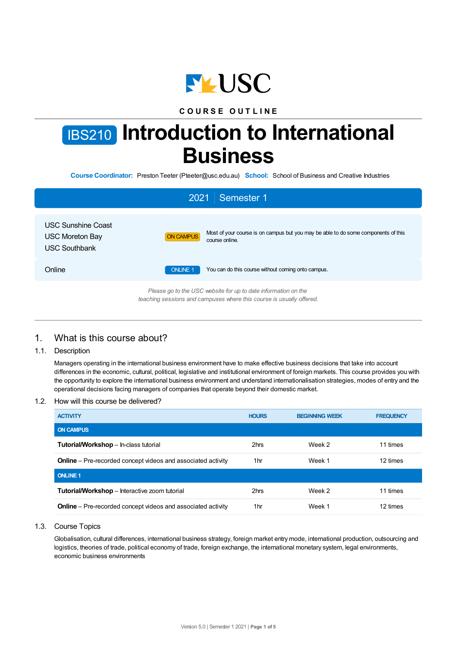

# **C O U R S E O U T L I N E**

# IBS210 **Introduction to International Business**

**Course Coordinator:** Preston Teeter (Pteeter@usc.edu.au) **School:** School of Business and Creative Industries

| 2021 Semester 1                                                             |                 |                                                                                                      |  |  |  |
|-----------------------------------------------------------------------------|-----------------|------------------------------------------------------------------------------------------------------|--|--|--|
| <b>USC Sunshine Coast</b><br><b>USC Moreton Bay</b><br><b>USC Southbank</b> | ON CAMPUS       | Most of your course is on campus but you may be able to do some components of this<br>course online. |  |  |  |
| Online                                                                      | <b>ONLINE 1</b> | You can do this course without coming onto campus.                                                   |  |  |  |
| Please go to the USC website for up to date information on the              |                 |                                                                                                      |  |  |  |

*teaching sessions and campuses where this course is usually offered.*

# 1. What is this course about?

# 1.1. Description

Managers operating in the international business environment have to make effective business decisions that take into account differences in the economic, cultural, political, legislative and institutional environment of foreign markets. This course provides you with the opportunity to explore the international business environment and understand internationalisation strategies, modes of entry and the operational decisions facing managers of companies that operate beyond their domestic market.

# 1.2. How will this course be delivered?

| <b>ACTIVITY</b>                                                     | <b>HOURS</b>    | <b>BEGINNING WEEK</b> | <b>FREQUENCY</b> |
|---------------------------------------------------------------------|-----------------|-----------------------|------------------|
| <b>ON CAMPUS</b>                                                    |                 |                       |                  |
| <b>Tutorial/Workshop</b> – In-class tutorial                        | 2hrs            | Week 2                | 11 times         |
| <b>Online</b> – Pre-recorded concept videos and associated activity | 1 <sub>hr</sub> | Week 1                | 12 times         |
| <b>ONLINE 1</b>                                                     |                 |                       |                  |
| <b>Tutorial/Workshop</b> – Interactive zoom tutorial                | 2hrs            | Week 2                | 11 times         |
| <b>Online</b> – Pre-recorded concept videos and associated activity | 1hr             | Week 1                | 12 times         |

## 1.3. Course Topics

Globalisation, cultural differences, international business strategy, foreign market entry mode, international production, outsourcing and logistics, theories of trade, political economy of trade, foreign exchange, the international monetary system, legal environments, economic business environments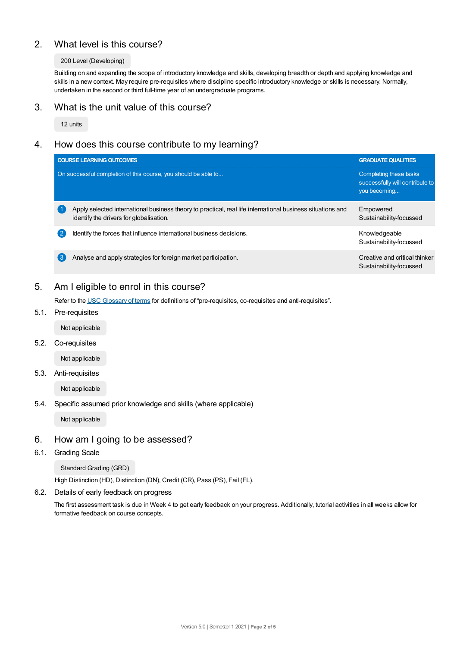# 2. What level is this course?

## 200 Level (Developing)

Building on and expanding the scope of introductory knowledge and skills, developing breadth or depth and applying knowledge and skills in a new context. May require pre-requisites where discipline specific introductory knowledge or skills is necessary. Normally, undertaken in the second or third full-time year of an undergraduate programs.

# 3. What is the unit value of this course?

12 units

# 4. How does this course contribute to my learning?

| <b>COURSE LEARNING OUTCOMES</b>                                                                                                                       | <b>GRADUATE QUALITIES</b>                                                 |
|-------------------------------------------------------------------------------------------------------------------------------------------------------|---------------------------------------------------------------------------|
| On successful completion of this course, you should be able to                                                                                        | Completing these tasks<br>successfully will contribute to<br>you becoming |
| Apply selected international business theory to practical, real life international business situations and<br>identify the drivers for globalisation. | Empowered<br>Sustainability-focussed                                      |
| Identify the forces that influence international business decisions.                                                                                  | Knowledgeable<br>Sustainability-focussed                                  |
| Analyse and apply strategies for foreign market participation.                                                                                        | Creative and critical thinker<br>Sustainability-focussed                  |

# 5. Am I eligible to enrol in this course?

Refer to the USC [Glossary](https://www.usc.edu.au/about/policies-and-procedures/glossary-of-terms-for-policy-and-procedures) of terms for definitions of "pre-requisites, co-requisites and anti-requisites".

5.1. Pre-requisites

Not applicable

5.2. Co-requisites

Not applicable

## 5.3. Anti-requisites

Not applicable

5.4. Specific assumed prior knowledge and skills (where applicable)

Not applicable

# 6. How am I going to be assessed?

6.1. Grading Scale

Standard Grading (GRD)

High Distinction (HD), Distinction (DN), Credit (CR), Pass (PS), Fail (FL).

6.2. Details of early feedback on progress

The first assessment task is due in Week 4 to get early feedback on your progress. Additionally, tutorial activities in all weeks allow for formative feedback on course concepts.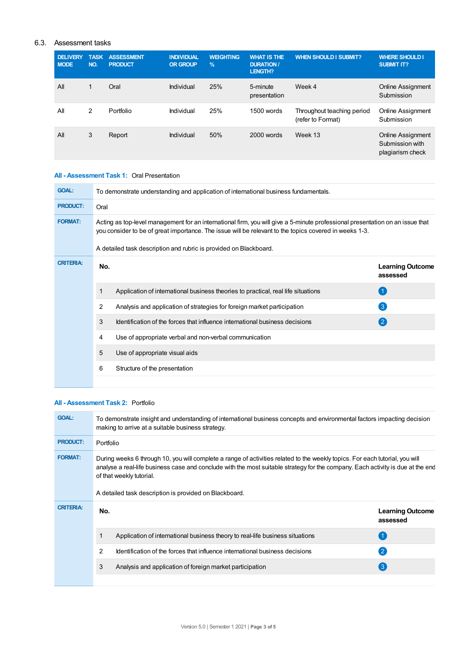# 6.3. Assessment tasks

| <b>DELIVERY</b><br><b>MODE</b> | <b>TASK</b><br>NO. | <b>ASSESSMENT</b><br><b>PRODUCT</b> | <b>INDIVIDUAL</b><br><b>OR GROUP</b> | <b>WEIGHTING</b><br>$\%$ | <b>WHAT IS THE</b><br><b>DURATION /</b><br>LENGTH? | <b>WHEN SHOULD I SUBMIT?</b>                    | <b>WHERE SHOULD I</b><br><b>SUBMIT IT?</b>                      |
|--------------------------------|--------------------|-------------------------------------|--------------------------------------|--------------------------|----------------------------------------------------|-------------------------------------------------|-----------------------------------------------------------------|
| All                            |                    | Oral                                | Individual                           | 25%                      | 5-minute<br>presentation                           | Week 4                                          | <b>Online Assignment</b><br>Submission                          |
| All                            | 2                  | Portfolio                           | Individual                           | 25%                      | 1500 words                                         | Throughout teaching period<br>(refer to Format) | <b>Online Assignment</b><br>Submission                          |
| All                            | 3                  | Report                              | Individual                           | 50%                      | 2000 words                                         | Week 13                                         | <b>Online Assignment</b><br>Submission with<br>plagiarism check |

# **All - Assessment Task 1:** Oral Presentation

| <b>GOAL:</b>     | To demonstrate understanding and application of international business fundamentals.                                                                                                                                                    |                                                                                   |                                     |  |  |
|------------------|-----------------------------------------------------------------------------------------------------------------------------------------------------------------------------------------------------------------------------------------|-----------------------------------------------------------------------------------|-------------------------------------|--|--|
| <b>PRODUCT:</b>  | Oral                                                                                                                                                                                                                                    |                                                                                   |                                     |  |  |
| <b>FORMAT:</b>   | Acting as top-level management for an international firm, you will give a 5-minute professional presentation on an issue that<br>you consider to be of great importance. The issue will be relevant to the topics covered in weeks 1-3. |                                                                                   |                                     |  |  |
|                  |                                                                                                                                                                                                                                         | A detailed task description and rubric is provided on Blackboard.                 |                                     |  |  |
| <b>CRITERIA:</b> | No.                                                                                                                                                                                                                                     |                                                                                   | <b>Learning Outcome</b><br>assessed |  |  |
|                  | 1                                                                                                                                                                                                                                       | Application of international business theories to practical, real life situations | $\overline{1}$                      |  |  |
|                  | 2                                                                                                                                                                                                                                       | Analysis and application of strategies for foreign market participation           | $\mathbf{3}$                        |  |  |
|                  | 3                                                                                                                                                                                                                                       | Identification of the forces that influence international business decisions      | (2)                                 |  |  |
|                  | 4                                                                                                                                                                                                                                       | Use of appropriate verbal and non-verbal communication                            |                                     |  |  |
|                  | 5                                                                                                                                                                                                                                       | Use of appropriate visual aids                                                    |                                     |  |  |
|                  | 6                                                                                                                                                                                                                                       | Structure of the presentation                                                     |                                     |  |  |
|                  |                                                                                                                                                                                                                                         |                                                                                   |                                     |  |  |

# **All - Assessment Task 2:** Portfolio

| <b>GOAL:</b>     | To demonstrate insight and understanding of international business concepts and environmental factors impacting decision<br>making to arrive at a suitable business strategy.                                                                                                                                                                         |                                     |  |  |  |
|------------------|-------------------------------------------------------------------------------------------------------------------------------------------------------------------------------------------------------------------------------------------------------------------------------------------------------------------------------------------------------|-------------------------------------|--|--|--|
| <b>PRODUCT:</b>  | Portfolio                                                                                                                                                                                                                                                                                                                                             |                                     |  |  |  |
| <b>FORMAT:</b>   | During weeks 6 through 10, you will complete a range of activities related to the weekly topics. For each tutorial, you will<br>analyse a real-life business case and conclude with the most suitable strategy for the company. Each activity is due at the end<br>of that weekly tutorial.<br>A detailed task description is provided on Blackboard. |                                     |  |  |  |
| <b>CRITERIA:</b> | No.                                                                                                                                                                                                                                                                                                                                                   | <b>Learning Outcome</b><br>assessed |  |  |  |
|                  | 1<br>Application of international business theory to real-life business situations                                                                                                                                                                                                                                                                    | $\left( 1 \right)$                  |  |  |  |
|                  | 2<br>Identification of the forces that influence international business decisions                                                                                                                                                                                                                                                                     | $\mathbf{2}$                        |  |  |  |
|                  | 3<br>Analysis and application of foreign market participation                                                                                                                                                                                                                                                                                         | $\left( 3\right)$                   |  |  |  |
|                  |                                                                                                                                                                                                                                                                                                                                                       |                                     |  |  |  |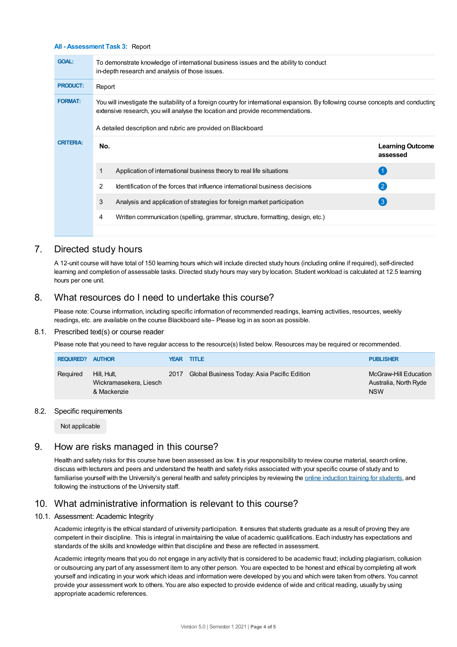#### **All - Assessment Task 3:** Report

| <b>GOAL:</b>     | To demonstrate knowledge of international business issues and the ability to conduct<br>in-depth research and analysis of those issues.                                                                                                                                              |                                                                                |                                     |  |  |  |
|------------------|--------------------------------------------------------------------------------------------------------------------------------------------------------------------------------------------------------------------------------------------------------------------------------------|--------------------------------------------------------------------------------|-------------------------------------|--|--|--|
| <b>PRODUCT:</b>  | Report                                                                                                                                                                                                                                                                               |                                                                                |                                     |  |  |  |
| <b>FORMAT:</b>   | You will investigate the suitability of a foreign country for international expansion. By following course concepts and conducting<br>extensive research, you will analyse the location and provide recommendations.<br>A detailed description and rubric are provided on Blackboard |                                                                                |                                     |  |  |  |
| <b>CRITERIA:</b> | No.                                                                                                                                                                                                                                                                                  |                                                                                | <b>Learning Outcome</b><br>assessed |  |  |  |
|                  |                                                                                                                                                                                                                                                                                      | Application of international business theory to real life situations           | $\overline{1}$                      |  |  |  |
|                  | 2                                                                                                                                                                                                                                                                                    | Identification of the forces that influence international business decisions   | $\left( 2\right)$                   |  |  |  |
|                  | 3                                                                                                                                                                                                                                                                                    | Analysis and application of strategies for foreign market participation        | $\left(3\right)$                    |  |  |  |
|                  | 4                                                                                                                                                                                                                                                                                    | Written communication (spelling, grammar, structure, formatting, design, etc.) |                                     |  |  |  |
|                  |                                                                                                                                                                                                                                                                                      |                                                                                |                                     |  |  |  |

# 7. Directed study hours

A 12-unit course will have total of 150 learning hours which will include directed study hours (including online if required), self-directed learning and completion of assessable tasks. Directed study hours may vary by location. Student workload is calculated at 12.5 learning hours per one unit.

# 8. What resources do I need to undertake this course?

Please note: Course information, including specific information of recommended readings, learning activities, resources, weekly readings, etc. are available on the course Blackboard site– Please log in as soon as possible.

#### 8.1. Prescribed text(s) or course reader

Please note that you need to have regular access to the resource(s) listed below. Resources may be required or recommended.

| <b>REQUIRED?</b> | <b>AUTHOR</b>                                        |      | <b>YEAR TITLE</b>                           | <b>PUBLISHER</b>                                             |
|------------------|------------------------------------------------------|------|---------------------------------------------|--------------------------------------------------------------|
| Required         | Hill. Hult.<br>Wickramasekera, Liesch<br>& Mackenzie | 2017 | Global Business Today: Asia Pacific Edition | McGraw-Hill Education<br>Australia, North Ryde<br><b>NSW</b> |

## 8.2. Specific requirements

Not applicable

# 9. How are risks managed in this course?

Health and safety risks for this course have been assessed as low. It is your responsibility to review course material, search online, discuss with lecturers and peers and understand the health and safety risks associated with your specific course of study and to familiarise yourself with the University's general health and safety principles by reviewing the online [induction](https://online.usc.edu.au/webapps/blackboard/content/listContentEditable.jsp?content_id=_632657_1&course_id=_14432_1) training for students, and following the instructions of the University staff.

# 10. What administrative information is relevant to this course?

## 10.1. Assessment: Academic Integrity

Academic integrity is the ethical standard of university participation. It ensures that students graduate as a result of proving they are competent in their discipline. This is integral in maintaining the value of academic qualifications. Each industry has expectations and standards of the skills and knowledge within that discipline and these are reflected in assessment.

Academic integrity means that you do not engage in any activity that is considered to be academic fraud; including plagiarism, collusion or outsourcing any part of any assessment item to any other person. You are expected to be honest and ethical by completing all work yourself and indicating in your work which ideas and information were developed by you and which were taken from others. You cannot provide your assessment work to others.You are also expected to provide evidence of wide and critical reading, usually by using appropriate academic references.